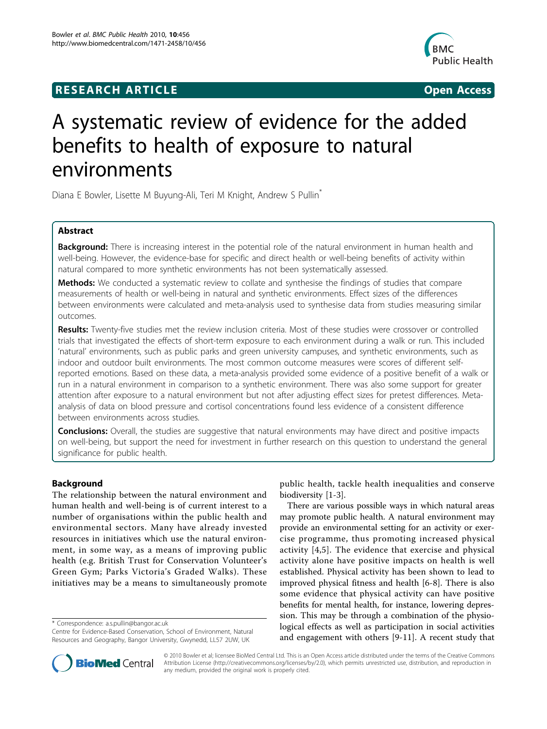# **RESEARCH ARTICLE Example 2018 12:30 THE Open Access**



# A systematic review of evidence for the added benefits to health of exposure to natural environments

Diana E Bowler, Lisette M Buyung-Ali, Teri M Knight, Andrew S Pullin<sup>\*</sup>

# Abstract

**Background:** There is increasing interest in the potential role of the natural environment in human health and well-being. However, the evidence-base for specific and direct health or well-being benefits of activity within natural compared to more synthetic environments has not been systematically assessed.

Methods: We conducted a systematic review to collate and synthesise the findings of studies that compare measurements of health or well-being in natural and synthetic environments. Effect sizes of the differences between environments were calculated and meta-analysis used to synthesise data from studies measuring similar outcomes.

Results: Twenty-five studies met the review inclusion criteria. Most of these studies were crossover or controlled trials that investigated the effects of short-term exposure to each environment during a walk or run. This included 'natural' environments, such as public parks and green university campuses, and synthetic environments, such as indoor and outdoor built environments. The most common outcome measures were scores of different selfreported emotions. Based on these data, a meta-analysis provided some evidence of a positive benefit of a walk or run in a natural environment in comparison to a synthetic environment. There was also some support for greater attention after exposure to a natural environment but not after adjusting effect sizes for pretest differences. Metaanalysis of data on blood pressure and cortisol concentrations found less evidence of a consistent difference between environments across studies.

Conclusions: Overall, the studies are suggestive that natural environments may have direct and positive impacts on well-being, but support the need for investment in further research on this question to understand the general significance for public health.

## Background

The relationship between the natural environment and human health and well-being is of current interest to a number of organisations within the public health and environmental sectors. Many have already invested resources in initiatives which use the natural environment, in some way, as a means of improving public health (e.g. British Trust for Conservation Volunteer's Green Gym; Parks Victoria's Graded Walks). These initiatives may be a means to simultaneously promote

\* Correspondence: [a.s.pullin@bangor.ac.uk](mailto:a.s.pullin@bangor.ac.uk)

public health, tackle health inequalities and conserve biodiversity [[1-3](#page-8-0)].

There are various possible ways in which natural areas may promote public health. A natural environment may provide an environmental setting for an activity or exercise programme, thus promoting increased physical activity [[4,5\]](#page-8-0). The evidence that exercise and physical activity alone have positive impacts on health is well established. Physical activity has been shown to lead to improved physical fitness and health [[6-8](#page-8-0)]. There is also some evidence that physical activity can have positive benefits for mental health, for instance, lowering depression. This may be through a combination of the physiological effects as well as participation in social activities and engagement with others [\[9](#page-8-0)-[11\]](#page-8-0). A recent study that



© 2010 Bowler et al; licensee BioMed Central Ltd. This is an Open Access article distributed under the terms of the Creative Commons Attribution License [\(http://creativecommons.org/licenses/by/2.0](http://creativecommons.org/licenses/by/2.0)), which permits unrestricted use, distribution, and reproduction in any medium, provided the original work is properly cited.

Centre for Evidence-Based Conservation, School of Environment, Natural Resources and Geography, Bangor University, Gwynedd, LL57 2UW, UK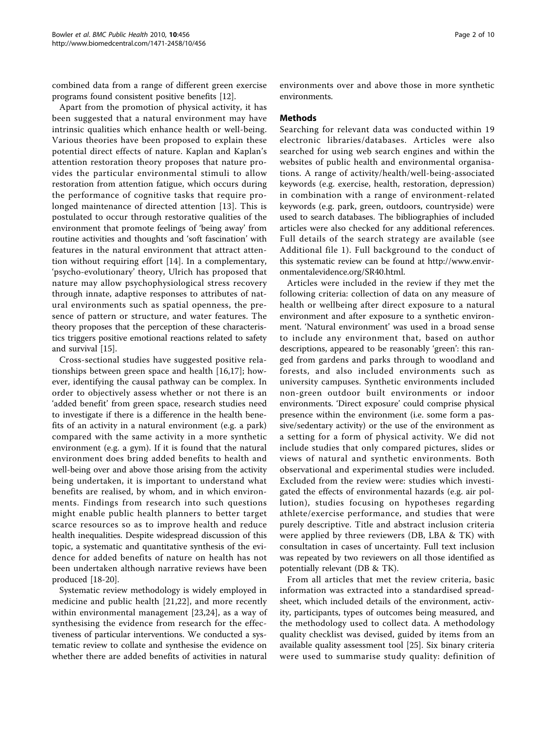combined data from a range of different green exercise programs found consistent positive benefits [\[12\]](#page-9-0).

Apart from the promotion of physical activity, it has been suggested that a natural environment may have intrinsic qualities which enhance health or well-being. Various theories have been proposed to explain these potential direct effects of nature. Kaplan and Kaplan's attention restoration theory proposes that nature provides the particular environmental stimuli to allow restoration from attention fatigue, which occurs during the performance of cognitive tasks that require prolonged maintenance of directed attention [[13](#page-9-0)]. This is postulated to occur through restorative qualities of the environment that promote feelings of 'being away' from routine activities and thoughts and 'soft fascination' with features in the natural environment that attract attention without requiring effort [[14](#page-9-0)]. In a complementary, 'psycho-evolutionary' theory, Ulrich has proposed that nature may allow psychophysiological stress recovery through innate, adaptive responses to attributes of natural environments such as spatial openness, the presence of pattern or structure, and water features. The theory proposes that the perception of these characteristics triggers positive emotional reactions related to safety and survival [\[15](#page-9-0)].

Cross-sectional studies have suggested positive relationships between green space and health [\[16](#page-9-0),[17\]](#page-9-0); however, identifying the causal pathway can be complex. In order to objectively assess whether or not there is an 'added benefit' from green space, research studies need to investigate if there is a difference in the health benefits of an activity in a natural environment (e.g. a park) compared with the same activity in a more synthetic environment (e.g. a gym). If it is found that the natural environment does bring added benefits to health and well-being over and above those arising from the activity being undertaken, it is important to understand what benefits are realised, by whom, and in which environments. Findings from research into such questions might enable public health planners to better target scarce resources so as to improve health and reduce health inequalities. Despite widespread discussion of this topic, a systematic and quantitative synthesis of the evidence for added benefits of nature on health has not been undertaken although narrative reviews have been produced [\[18](#page-9-0)-[20](#page-9-0)].

Systematic review methodology is widely employed in medicine and public health [[21,22](#page-9-0)], and more recently within environmental management [[23,24](#page-9-0)], as a way of synthesising the evidence from research for the effectiveness of particular interventions. We conducted a systematic review to collate and synthesise the evidence on whether there are added benefits of activities in natural

#### Methods

Searching for relevant data was conducted within 19 electronic libraries/databases. Articles were also searched for using web search engines and within the websites of public health and environmental organisations. A range of activity/health/well-being-associated keywords (e.g. exercise, health, restoration, depression) in combination with a range of environment-related keywords (e.g. park, green, outdoors, countryside) were used to search databases. The bibliographies of included articles were also checked for any additional references. Full details of the search strategy are available (see Additional file [1\)](#page-8-0). Full background to the conduct of this systematic review can be found at [http://www.envir](http://www.environmentalevidence.org/SR40.html)[onmentalevidence.org/SR40.html](http://www.environmentalevidence.org/SR40.html).

Articles were included in the review if they met the following criteria: collection of data on any measure of health or wellbeing after direct exposure to a natural environment and after exposure to a synthetic environment. 'Natural environment' was used in a broad sense to include any environment that, based on author descriptions, appeared to be reasonably 'green': this ranged from gardens and parks through to woodland and forests, and also included environments such as university campuses. Synthetic environments included non-green outdoor built environments or indoor environments. 'Direct exposure' could comprise physical presence within the environment (i.e. some form a passive/sedentary activity) or the use of the environment as a setting for a form of physical activity. We did not include studies that only compared pictures, slides or views of natural and synthetic environments. Both observational and experimental studies were included. Excluded from the review were: studies which investigated the effects of environmental hazards (e.g. air pollution), studies focusing on hypotheses regarding athlete/exercise performance, and studies that were purely descriptive. Title and abstract inclusion criteria were applied by three reviewers (DB, LBA & TK) with consultation in cases of uncertainty. Full text inclusion was repeated by two reviewers on all those identified as potentially relevant (DB & TK).

From all articles that met the review criteria, basic information was extracted into a standardised spreadsheet, which included details of the environment, activity, participants, types of outcomes being measured, and the methodology used to collect data. A methodology quality checklist was devised, guided by items from an available quality assessment tool [[25\]](#page-9-0). Six binary criteria were used to summarise study quality: definition of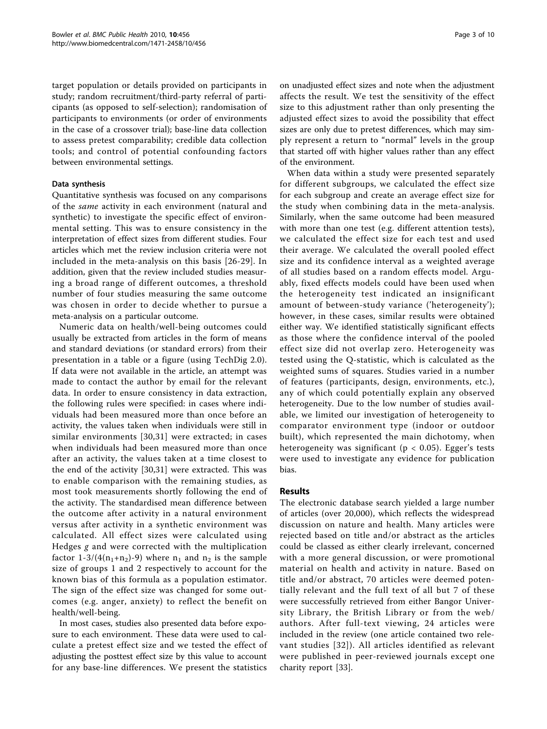target population or details provided on participants in study; random recruitment/third-party referral of participants (as opposed to self-selection); randomisation of participants to environments (or order of environments in the case of a crossover trial); base-line data collection to assess pretest comparability; credible data collection tools; and control of potential confounding factors between environmental settings.

## Data synthesis

Quantitative synthesis was focused on any comparisons of the same activity in each environment (natural and synthetic) to investigate the specific effect of environmental setting. This was to ensure consistency in the interpretation of effect sizes from different studies. Four articles which met the review inclusion criteria were not included in the meta-analysis on this basis [[26](#page-9-0)-[29](#page-9-0)]. In addition, given that the review included studies measuring a broad range of different outcomes, a threshold number of four studies measuring the same outcome was chosen in order to decide whether to pursue a meta-analysis on a particular outcome.

Numeric data on health/well-being outcomes could usually be extracted from articles in the form of means and standard deviations (or standard errors) from their presentation in a table or a figure (using TechDig 2.0). If data were not available in the article, an attempt was made to contact the author by email for the relevant data. In order to ensure consistency in data extraction, the following rules were specified: in cases where individuals had been measured more than once before an activity, the values taken when individuals were still in similar environments [[30,31](#page-9-0)] were extracted; in cases when individuals had been measured more than once after an activity, the values taken at a time closest to the end of the activity [[30,31](#page-9-0)] were extracted. This was to enable comparison with the remaining studies, as most took measurements shortly following the end of the activity. The standardised mean difference between the outcome after activity in a natural environment versus after activity in a synthetic environment was calculated. All effect sizes were calculated using Hedges  $g$  and were corrected with the multiplication factor 1-3/(4( $n_1+n_2$ )-9) where  $n_1$  and  $n_2$  is the sample size of groups 1 and 2 respectively to account for the known bias of this formula as a population estimator. The sign of the effect size was changed for some outcomes (e.g. anger, anxiety) to reflect the benefit on health/well-being.

In most cases, studies also presented data before exposure to each environment. These data were used to calculate a pretest effect size and we tested the effect of adjusting the posttest effect size by this value to account for any base-line differences. We present the statistics on unadjusted effect sizes and note when the adjustment affects the result. We test the sensitivity of the effect size to this adjustment rather than only presenting the adjusted effect sizes to avoid the possibility that effect sizes are only due to pretest differences, which may simply represent a return to "normal" levels in the group that started off with higher values rather than any effect of the environment.

When data within a study were presented separately for different subgroups, we calculated the effect size for each subgroup and create an average effect size for the study when combining data in the meta-analysis. Similarly, when the same outcome had been measured with more than one test (e.g. different attention tests), we calculated the effect size for each test and used their average. We calculated the overall pooled effect size and its confidence interval as a weighted average of all studies based on a random effects model. Arguably, fixed effects models could have been used when the heterogeneity test indicated an insignificant amount of between-study variance ('heterogeneity'); however, in these cases, similar results were obtained either way. We identified statistically significant effects as those where the confidence interval of the pooled effect size did not overlap zero. Heterogeneity was tested using the Q-statistic, which is calculated as the weighted sums of squares. Studies varied in a number of features (participants, design, environments, etc.), any of which could potentially explain any observed heterogeneity. Due to the low number of studies available, we limited our investigation of heterogeneity to comparator environment type (indoor or outdoor built), which represented the main dichotomy, when heterogeneity was significant ( $p < 0.05$ ). Egger's tests were used to investigate any evidence for publication bias.

## Results

The electronic database search yielded a large number of articles (over 20,000), which reflects the widespread discussion on nature and health. Many articles were rejected based on title and/or abstract as the articles could be classed as either clearly irrelevant, concerned with a more general discussion, or were promotional material on health and activity in nature. Based on title and/or abstract, 70 articles were deemed potentially relevant and the full text of all but 7 of these were successfully retrieved from either Bangor University Library, the British Library or from the web/ authors. After full-text viewing, 24 articles were included in the review (one article contained two relevant studies [[32\]](#page-9-0)). All articles identified as relevant were published in peer-reviewed journals except one charity report [[33\]](#page-9-0).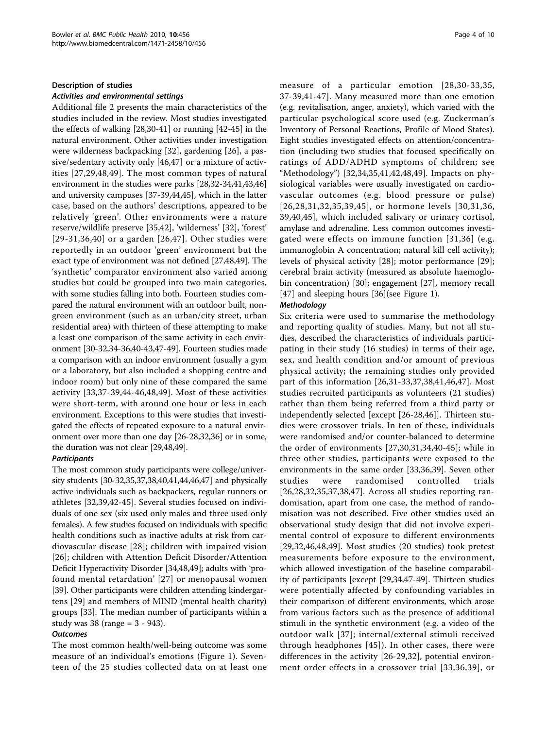# Description of studies

#### Activities and environmental settings

Additional file [2](#page-8-0) presents the main characteristics of the studies included in the review. Most studies investigated the effects of walking [\[28,30-41\]](#page-9-0) or running [\[42-45](#page-9-0)] in the natural environment. Other activities under investigation were wilderness backpacking [\[32](#page-9-0)], gardening [[26\]](#page-9-0), a passive/sedentary activity only [\[46,47](#page-9-0)] or a mixture of activities [[27](#page-9-0),[29,48,49](#page-9-0)]. The most common types of natural environment in the studies were parks [\[28,32-34,41,43,46](#page-9-0)] and university campuses [[37](#page-9-0)-[39](#page-9-0),[44,45](#page-9-0)], which in the latter case, based on the authors' descriptions, appeared to be relatively 'green'. Other environments were a nature reserve/wildlife preserve [\[35,42](#page-9-0)], 'wilderness' [\[32](#page-9-0)], 'forest' [[29-31](#page-9-0),[36](#page-9-0),[40\]](#page-9-0) or a garden [[26](#page-9-0),[47](#page-9-0)]. Other studies were reportedly in an outdoor 'green' environment but the exact type of environment was not defined [[27,48,49\]](#page-9-0). The 'synthetic' comparator environment also varied among studies but could be grouped into two main categories, with some studies falling into both. Fourteen studies compared the natural environment with an outdoor built, nongreen environment (such as an urban/city street, urban residential area) with thirteen of these attempting to make a least one comparison of the same activity in each environment [[30-32,34](#page-9-0)-[36,40](#page-9-0)-[43](#page-9-0),[47](#page-9-0)-[49](#page-9-0)]. Fourteen studies made a comparison with an indoor environment (usually a gym or a laboratory, but also included a shopping centre and indoor room) but only nine of these compared the same activity [[33](#page-9-0),[37-39,44](#page-9-0)-[46](#page-9-0),[48,49\]](#page-9-0). Most of these activities were short-term, with around one hour or less in each environment. Exceptions to this were studies that investigated the effects of repeated exposure to a natural environment over more than one day [[26-28,32](#page-9-0),[36](#page-9-0)] or in some, the duration was not clear [[29,48,49](#page-9-0)].

#### **Participants**

The most common study participants were college/university students [\[30-32,35,37,38,40,41](#page-9-0),[44,46,47](#page-9-0)] and physically active individuals such as backpackers, regular runners or athletes [[32,39,42](#page-9-0)-[45\]](#page-9-0). Several studies focused on individuals of one sex (six used only males and three used only females). A few studies focused on individuals with specific health conditions such as inactive adults at risk from cardiovascular disease [[28](#page-9-0)]; children with impaired vision [[26\]](#page-9-0); children with Attention Deficit Disorder/Attention Deficit Hyperactivity Disorder [\[34,48](#page-9-0),[49](#page-9-0)]; adults with 'profound mental retardation' [[27\]](#page-9-0) or menopausal women [[39](#page-9-0)]. Other participants were children attending kindergartens [[29\]](#page-9-0) and members of MIND (mental health charity) groups [[33](#page-9-0)]. The median number of participants within a study was 38 (range = 3 - 943).

## **Outcomes**

The most common health/well-being outcome was some measure of an individual's emotions (Figure [1](#page-4-0)). Seventeen of the 25 studies collected data on at least one measure of a particular emotion [[28,30](#page-9-0)-[33](#page-9-0),[35](#page-9-0), [37-39,41](#page-9-0)-[47](#page-9-0)]. Many measured more than one emotion (e.g. revitalisation, anger, anxiety), which varied with the particular psychological score used (e.g. Zuckerman's Inventory of Personal Reactions, Profile of Mood States). Eight studies investigated effects on attention/concentration (including two studies that focused specifically on ratings of ADD/ADHD symptoms of children; see "Methodology") [[32,34](#page-9-0),[35,41,42,48,49](#page-9-0)]. Impacts on physiological variables were usually investigated on cardiovascular outcomes (e.g. blood pressure or pulse) [[26](#page-9-0),[28](#page-9-0),[31,32](#page-9-0),[35](#page-9-0),[39,45](#page-9-0)], or hormone levels [[30,31](#page-9-0),[36](#page-9-0), [39,40,45\]](#page-9-0), which included salivary or urinary cortisol, amylase and adrenaline. Less common outcomes investigated were effects on immune function [[31,36](#page-9-0)] (e.g. immunoglobin A concentration; natural kill cell activity); levels of physical activity [[28\]](#page-9-0); motor performance [\[29](#page-9-0)]; cerebral brain activity (measured as absolute haemoglobin concentration) [\[30\]](#page-9-0); engagement [\[27\]](#page-9-0), memory recall [[47\]](#page-9-0) and sleeping hours [[36\]](#page-9-0) (see Figure [1](#page-4-0)).

#### Methodology

Six criteria were used to summarise the methodology and reporting quality of studies. Many, but not all studies, described the characteristics of individuals participating in their study (16 studies) in terms of their age, sex, and health condition and/or amount of previous physical activity; the remaining studies only provided part of this information [\[26,31](#page-9-0)-[33,37](#page-9-0),[38,41,46,47](#page-9-0)]. Most studies recruited participants as volunteers (21 studies) rather than them being referred from a third party or independently selected [except [\[26-28](#page-9-0),[46](#page-9-0)]]. Thirteen studies were crossover trials. In ten of these, individuals were randomised and/or counter-balanced to determine the order of environments [[27,30](#page-9-0),[31,34,40](#page-9-0)-[45\]](#page-9-0); while in three other studies, participants were exposed to the environments in the same order [\[33,36,39](#page-9-0)]. Seven other studies were randomised controlled trials [[26,28](#page-9-0),[32,35,37](#page-9-0),[38,47](#page-9-0)]. Across all studies reporting randomisation, apart from one case, the method of randomisation was not described. Five other studies used an observational study design that did not involve experimental control of exposure to different environments [[29,32,46,48](#page-9-0),[49\]](#page-9-0). Most studies (20 studies) took pretest measurements before exposure to the environment, which allowed investigation of the baseline comparability of participants [except [\[29,34,47-49](#page-9-0)]. Thirteen studies were potentially affected by confounding variables in their comparison of different environments, which arose from various factors such as the presence of additional stimuli in the synthetic environment (e.g. a video of the outdoor walk [[37](#page-9-0)]; internal/external stimuli received through headphones [\[45\]](#page-9-0)). In other cases, there were differences in the activity [[26](#page-9-0)-[29,32](#page-9-0)], potential environment order effects in a crossover trial [[33](#page-9-0),[36,39\]](#page-9-0), or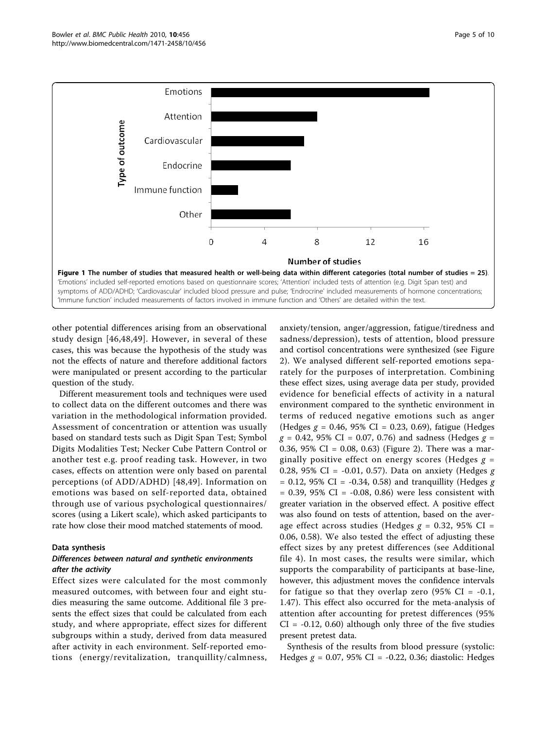<span id="page-4-0"></span>

other potential differences arising from an observational study design [[46,48](#page-9-0),[49](#page-9-0)]. However, in several of these cases, this was because the hypothesis of the study was not the effects of nature and therefore additional factors were manipulated or present according to the particular question of the study.

Different measurement tools and techniques were used to collect data on the different outcomes and there was variation in the methodological information provided. Assessment of concentration or attention was usually based on standard tests such as Digit Span Test; Symbol Digits Modalities Test; Necker Cube Pattern Control or another test e.g. proof reading task. However, in two cases, effects on attention were only based on parental perceptions (of ADD/ADHD) [[48](#page-9-0),[49](#page-9-0)]. Information on emotions was based on self-reported data, obtained through use of various psychological questionnaires/ scores (using a Likert scale), which asked participants to rate how close their mood matched statements of mood.

## Data synthesis

# Differences between natural and synthetic environments after the activity

Effect sizes were calculated for the most commonly measured outcomes, with between four and eight studies measuring the same outcome. Additional file [3](#page-8-0) presents the effect sizes that could be calculated from each study, and where appropriate, effect sizes for different subgroups within a study, derived from data measured after activity in each environment. Self-reported emotions (energy/revitalization, tranquillity/calmness, anxiety/tension, anger/aggression, fatigue/tiredness and sadness/depression), tests of attention, blood pressure and cortisol concentrations were synthesized (see Figure [2\)](#page-5-0). We analysed different self-reported emotions separately for the purposes of interpretation. Combining these effect sizes, using average data per study, provided evidence for beneficial effects of activity in a natural environment compared to the synthetic environment in terms of reduced negative emotions such as anger (Hedges  $g = 0.46$ , 95% CI = 0.23, 0.69), fatigue (Hedges  $g = 0.42$ , 95% CI = 0.07, 0.76) and sadness (Hedges  $g =$ 0.36, 95% CI = 0.08, 0.63) (Figure [2\)](#page-5-0). There was a marginally positive effect on energy scores (Hedges  $g =$ 0.28, 95% CI = -0.01, 0.57). Data on anxiety (Hedges  $g$ = 0.12, 95% CI = -0.34, 0.58) and tranquillity (Hedges  $g$  $= 0.39, 95\% \text{ CI} = -0.08, 0.86$  were less consistent with greater variation in the observed effect. A positive effect was also found on tests of attention, based on the average effect across studies (Hedges  $g = 0.32$ , 95% CI = 0.06, 0.58). We also tested the effect of adjusting these effect sizes by any pretest differences (see Additional file [4](#page-8-0)). In most cases, the results were similar, which supports the comparability of participants at base-line, however, this adjustment moves the confidence intervals for fatigue so that they overlap zero  $(95\% \text{ CI} = -0.1,$ 1.47). This effect also occurred for the meta-analysis of attention after accounting for pretest differences (95%  $CI = -0.12, 0.60$ ) although only three of the five studies present pretest data.

Synthesis of the results from blood pressure (systolic: Hedges  $g = 0.07$ , 95% CI = -0.22, 0.36; diastolic: Hedges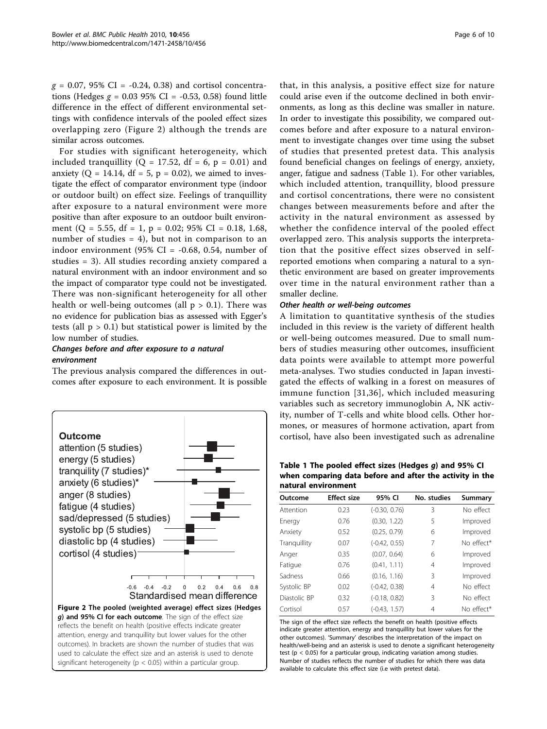<span id="page-5-0"></span> $g = 0.07, 95\% \text{ CI} = -0.24, 0.38$  and cortisol concentrations (Hedges  $g = 0.0395\%$  CI = -0.53, 0.58) found little difference in the effect of different environmental settings with confidence intervals of the pooled effect sizes overlapping zero (Figure 2) although the trends are similar across outcomes.

For studies with significant heterogeneity, which included tranquillity ( $Q = 17.52$ , df = 6, p = 0.01) and anxiety ( $Q = 14.14$ , df = 5, p = 0.02), we aimed to investigate the effect of comparator environment type (indoor or outdoor built) on effect size. Feelings of tranquillity after exposure to a natural environment were more positive than after exposure to an outdoor built environment (Q = 5.55, df = 1, p = 0.02; 95% CI = 0.18, 1.68, number of studies  $= 4$ ), but not in comparison to an indoor environment  $(95\% \text{ CI} = -0.68, 0.54, \text{ number of})$ studies = 3). All studies recording anxiety compared a natural environment with an indoor environment and so the impact of comparator type could not be investigated. There was non-significant heterogeneity for all other health or well-being outcomes (all  $p > 0.1$ ). There was no evidence for publication bias as assessed with Egger's tests (all  $p > 0.1$ ) but statistical power is limited by the low number of studies.

# Changes before and after exposure to a natural environment

The previous analysis compared the differences in outcomes after exposure to each environment. It is possible



that, in this analysis, a positive effect size for nature could arise even if the outcome declined in both environments, as long as this decline was smaller in nature. In order to investigate this possibility, we compared outcomes before and after exposure to a natural environment to investigate changes over time using the subset of studies that presented pretest data. This analysis found beneficial changes on feelings of energy, anxiety, anger, fatigue and sadness (Table 1). For other variables, which included attention, tranquillity, blood pressure and cortisol concentrations, there were no consistent changes between measurements before and after the activity in the natural environment as assessed by whether the confidence interval of the pooled effect overlapped zero. This analysis supports the interpretation that the positive effect sizes observed in selfreported emotions when comparing a natural to a synthetic environment are based on greater improvements over time in the natural environment rather than a smaller decline.

#### Other health or well-being outcomes

A limitation to quantitative synthesis of the studies included in this review is the variety of different health or well-being outcomes measured. Due to small numbers of studies measuring other outcomes, insufficient data points were available to attempt more powerful meta-analyses. Two studies conducted in Japan investigated the effects of walking in a forest on measures of immune function [[31](#page-9-0),[36](#page-9-0)], which included measuring variables such as secretory immunoglobin A, NK activity, number of T-cells and white blood cells. Other hormones, or measures of hormone activation, apart from cortisol, have also been investigated such as adrenaline

Table 1 The pooled effect sizes (Hedges g) and 95% CI when comparing data before and after the activity in the natural environment

| Outcome      | <b>Effect size</b> | 95% CI          | No. studies | Summary      |
|--------------|--------------------|-----------------|-------------|--------------|
| Attention    | 0.23               | $(-0.30, 0.76)$ | 3           | No effect    |
| Energy       | 0.76               | (0.30, 1.22)    | 5           | Improved     |
| Anxiety      | 0.52               | (0.25, 0.79)    | 6           | Improved     |
| Tranquillity | 0.07               | $(-0.42, 0.55)$ | 7           | $No$ effect* |
| Anger        | 0.35               | (0.07, 0.64)    | 6           | Improved     |
| Fatique      | 0.76               | (0.41, 1.11)    | 4           | Improved     |
| Sadness      | 0.66               | (0.16, 1.16)    | 3           | Improved     |
| Systolic BP  | 0.02               | $(-0.42, 0.38)$ | 4           | No effect    |
| Diastolic BP | 0.32               | $(-0.18, 0.82)$ | 3           | No effect    |
| Cortisol     | 0.57               | $(-0.43, 1.57)$ | 4           | No effect*   |

The sign of the effect size reflects the benefit on health (positive effects indicate greater attention, energy and tranquillity but lower values for the other outcomes). 'Summary' describes the interpretation of the impact on health/well-being and an asterisk is used to denote a significant heterogeneity test ( $p < 0.05$ ) for a particular group, indicating variation among studies. Number of studies reflects the number of studies for which there was data available to calculate this effect size (i.e with pretest data).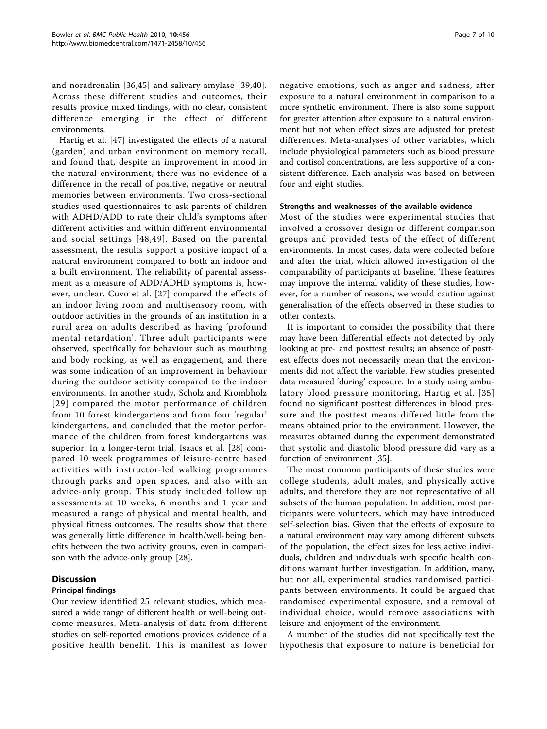and noradrenalin [\[36,45](#page-9-0)] and salivary amylase [[39](#page-9-0),[40\]](#page-9-0). Across these different studies and outcomes, their results provide mixed findings, with no clear, consistent difference emerging in the effect of different environments.

Hartig et al. [[47](#page-9-0)] investigated the effects of a natural (garden) and urban environment on memory recall, and found that, despite an improvement in mood in the natural environment, there was no evidence of a difference in the recall of positive, negative or neutral memories between environments. Two cross-sectional studies used questionnaires to ask parents of children with ADHD/ADD to rate their child's symptoms after different activities and within different environmental and social settings [[48,49\]](#page-9-0). Based on the parental assessment, the results support a positive impact of a natural environment compared to both an indoor and a built environment. The reliability of parental assessment as a measure of ADD/ADHD symptoms is, however, unclear. Cuvo et al. [[27\]](#page-9-0) compared the effects of an indoor living room and multisensory room, with outdoor activities in the grounds of an institution in a rural area on adults described as having 'profound mental retardation'. Three adult participants were observed, specifically for behaviour such as mouthing and body rocking, as well as engagement, and there was some indication of an improvement in behaviour during the outdoor activity compared to the indoor environments. In another study, Scholz and Krombholz [[29](#page-9-0)] compared the motor performance of children from 10 forest kindergartens and from four 'regular' kindergartens, and concluded that the motor performance of the children from forest kindergartens was superior. In a longer-term trial, Isaacs et al. [[28](#page-9-0)] compared 10 week programmes of leisure-centre based activities with instructor-led walking programmes through parks and open spaces, and also with an advice-only group. This study included follow up assessments at 10 weeks, 6 months and 1 year and measured a range of physical and mental health, and physical fitness outcomes. The results show that there was generally little difference in health/well-being benefits between the two activity groups, even in comparison with the advice-only group [[28\]](#page-9-0).

# Discussion

#### Principal findings

Our review identified 25 relevant studies, which measured a wide range of different health or well-being outcome measures. Meta-analysis of data from different studies on self-reported emotions provides evidence of a positive health benefit. This is manifest as lower negative emotions, such as anger and sadness, after exposure to a natural environment in comparison to a more synthetic environment. There is also some support for greater attention after exposure to a natural environment but not when effect sizes are adjusted for pretest differences. Meta-analyses of other variables, which include physiological parameters such as blood pressure and cortisol concentrations, are less supportive of a consistent difference. Each analysis was based on between four and eight studies.

#### Strengths and weaknesses of the available evidence

Most of the studies were experimental studies that involved a crossover design or different comparison groups and provided tests of the effect of different environments. In most cases, data were collected before and after the trial, which allowed investigation of the comparability of participants at baseline. These features may improve the internal validity of these studies, however, for a number of reasons, we would caution against generalisation of the effects observed in these studies to other contexts.

It is important to consider the possibility that there may have been differential effects not detected by only looking at pre- and posttest results; an absence of posttest effects does not necessarily mean that the environments did not affect the variable. Few studies presented data measured 'during' exposure. In a study using ambulatory blood pressure monitoring, Hartig et al. [[35](#page-9-0)] found no significant posttest differences in blood pressure and the posttest means differed little from the means obtained prior to the environment. However, the measures obtained during the experiment demonstrated that systolic and diastolic blood pressure did vary as a function of environment [[35](#page-9-0)].

The most common participants of these studies were college students, adult males, and physically active adults, and therefore they are not representative of all subsets of the human population. In addition, most participants were volunteers, which may have introduced self-selection bias. Given that the effects of exposure to a natural environment may vary among different subsets of the population, the effect sizes for less active individuals, children and individuals with specific health conditions warrant further investigation. In addition, many, but not all, experimental studies randomised participants between environments. It could be argued that randomised experimental exposure, and a removal of individual choice, would remove associations with leisure and enjoyment of the environment.

A number of the studies did not specifically test the hypothesis that exposure to nature is beneficial for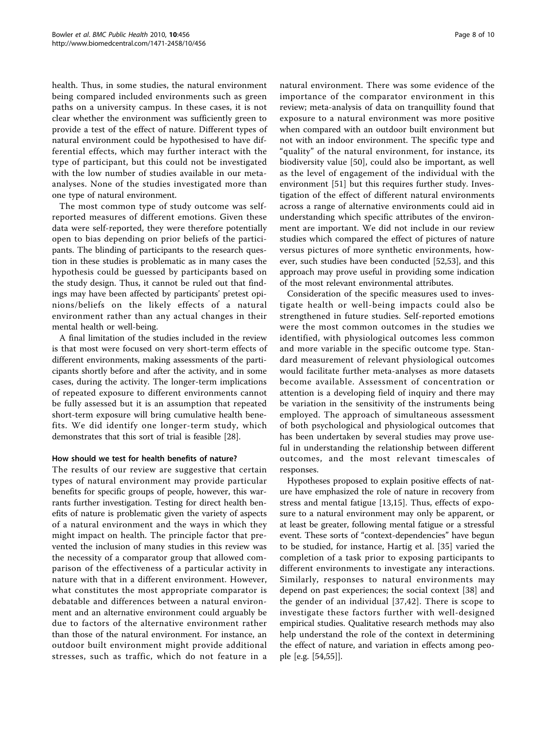health. Thus, in some studies, the natural environment being compared included environments such as green paths on a university campus. In these cases, it is not clear whether the environment was sufficiently green to provide a test of the effect of nature. Different types of natural environment could be hypothesised to have differential effects, which may further interact with the type of participant, but this could not be investigated with the low number of studies available in our metaanalyses. None of the studies investigated more than one type of natural environment.

The most common type of study outcome was selfreported measures of different emotions. Given these data were self-reported, they were therefore potentially open to bias depending on prior beliefs of the participants. The blinding of participants to the research question in these studies is problematic as in many cases the hypothesis could be guessed by participants based on the study design. Thus, it cannot be ruled out that findings may have been affected by participants' pretest opinions/beliefs on the likely effects of a natural environment rather than any actual changes in their mental health or well-being.

A final limitation of the studies included in the review is that most were focused on very short-term effects of different environments, making assessments of the participants shortly before and after the activity, and in some cases, during the activity. The longer-term implications of repeated exposure to different environments cannot be fully assessed but it is an assumption that repeated short-term exposure will bring cumulative health benefits. We did identify one longer-term study, which demonstrates that this sort of trial is feasible [\[28\]](#page-9-0).

#### How should we test for health benefits of nature?

The results of our review are suggestive that certain types of natural environment may provide particular benefits for specific groups of people, however, this warrants further investigation. Testing for direct health benefits of nature is problematic given the variety of aspects of a natural environment and the ways in which they might impact on health. The principle factor that prevented the inclusion of many studies in this review was the necessity of a comparator group that allowed comparison of the effectiveness of a particular activity in nature with that in a different environment. However, what constitutes the most appropriate comparator is debatable and differences between a natural environment and an alternative environment could arguably be due to factors of the alternative environment rather than those of the natural environment. For instance, an outdoor built environment might provide additional stresses, such as traffic, which do not feature in a natural environment. There was some evidence of the importance of the comparator environment in this review; meta-analysis of data on tranquillity found that exposure to a natural environment was more positive when compared with an outdoor built environment but not with an indoor environment. The specific type and "quality" of the natural environment, for instance, its biodiversity value [[50\]](#page-9-0), could also be important, as well as the level of engagement of the individual with the environment [\[51](#page-9-0)] but this requires further study. Investigation of the effect of different natural environments across a range of alternative environments could aid in understanding which specific attributes of the environment are important. We did not include in our review studies which compared the effect of pictures of nature versus pictures of more synthetic environments, however, such studies have been conducted [[52,53\]](#page-9-0), and this approach may prove useful in providing some indication of the most relevant environmental attributes.

Consideration of the specific measures used to investigate health or well-being impacts could also be strengthened in future studies. Self-reported emotions were the most common outcomes in the studies we identified, with physiological outcomes less common and more variable in the specific outcome type. Standard measurement of relevant physiological outcomes would facilitate further meta-analyses as more datasets become available. Assessment of concentration or attention is a developing field of inquiry and there may be variation in the sensitivity of the instruments being employed. The approach of simultaneous assessment of both psychological and physiological outcomes that has been undertaken by several studies may prove useful in understanding the relationship between different outcomes, and the most relevant timescales of responses.

Hypotheses proposed to explain positive effects of nature have emphasized the role of nature in recovery from stress and mental fatigue [\[13,15](#page-9-0)]. Thus, effects of exposure to a natural environment may only be apparent, or at least be greater, following mental fatigue or a stressful event. These sorts of "context-dependencies" have begun to be studied, for instance, Hartig et al. [[35\]](#page-9-0) varied the completion of a task prior to exposing participants to different environments to investigate any interactions. Similarly, responses to natural environments may depend on past experiences; the social context [[38\]](#page-9-0) and the gender of an individual [\[37,42](#page-9-0)]. There is scope to investigate these factors further with well-designed empirical studies. Qualitative research methods may also help understand the role of the context in determining the effect of nature, and variation in effects among people [e.g. [[54,55\]](#page-9-0)].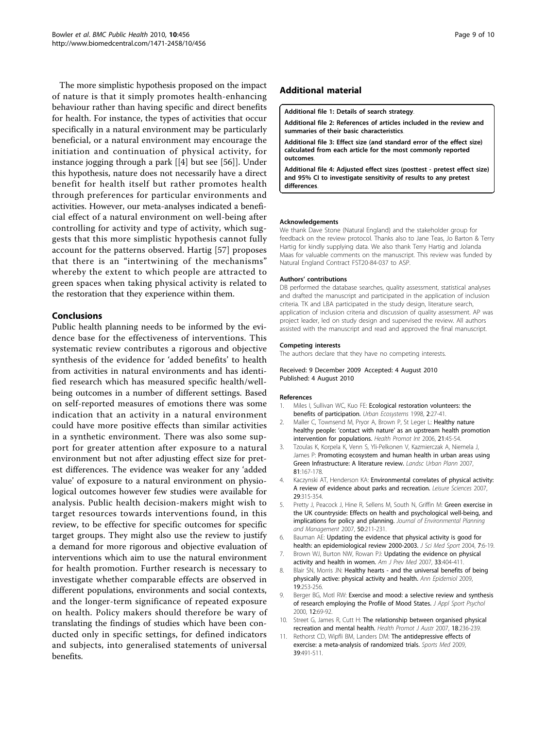<span id="page-8-0"></span>The more simplistic hypothesis proposed on the impact of nature is that it simply promotes health-enhancing behaviour rather than having specific and direct benefits for health. For instance, the types of activities that occur specifically in a natural environment may be particularly beneficial, or a natural environment may encourage the initiation and continuation of physical activity, for instance jogging through a park [[4] but see [\[56](#page-9-0)]]. Under this hypothesis, nature does not necessarily have a direct benefit for health itself but rather promotes health through preferences for particular environments and activities. However, our meta-analyses indicated a beneficial effect of a natural environment on well-being after controlling for activity and type of activity, which suggests that this more simplistic hypothesis cannot fully account for the patterns observed. Hartig [[57](#page-9-0)] proposes that there is an "intertwining of the mechanisms" whereby the extent to which people are attracted to green spaces when taking physical activity is related to the restoration that they experience within them.

## Conclusions

Public health planning needs to be informed by the evidence base for the effectiveness of interventions. This systematic review contributes a rigorous and objective synthesis of the evidence for 'added benefits' to health from activities in natural environments and has identified research which has measured specific health/wellbeing outcomes in a number of different settings. Based on self-reported measures of emotions there was some indication that an activity in a natural environment could have more positive effects than similar activities in a synthetic environment. There was also some support for greater attention after exposure to a natural environment but not after adjusting effect size for pretest differences. The evidence was weaker for any 'added value' of exposure to a natural environment on physiological outcomes however few studies were available for analysis. Public health decision-makers might wish to target resources towards interventions found, in this review, to be effective for specific outcomes for specific target groups. They might also use the review to justify a demand for more rigorous and objective evaluation of interventions which aim to use the natural environment for health promotion. Further research is necessary to investigate whether comparable effects are observed in different populations, environments and social contexts, and the longer-term significance of repeated exposure on health. Policy makers should therefore be wary of translating the findings of studies which have been conducted only in specific settings, for defined indicators and subjects, into generalised statements of universal benefits.

## Additional material

[Additional file 1: D](http://www.biomedcentral.com/content/supplementary/1471-2458-10-456-S1.DOC)etails of search strategy.

[Additional file 2: R](http://www.biomedcentral.com/content/supplementary/1471-2458-10-456-S2.DOC)eferences of articles included in the review and summaries of their basic characteristics.

[Additional file 3: E](http://www.biomedcentral.com/content/supplementary/1471-2458-10-456-S3.DOC)ffect size (and standard error of the effect size) calculated from each article for the most commonly reported outcomes.

[Additional file 4: A](http://www.biomedcentral.com/content/supplementary/1471-2458-10-456-S4.DOC)djusted effect sizes (posttest - pretest effect size) and 95% CI to investigate sensitivity of results to any pretest differences.

#### Acknowledgements

We thank Dave Stone (Natural England) and the stakeholder group for feedback on the review protocol. Thanks also to Jane Teas, Jo Barton & Terry Hartig for kindly supplying data. We also thank Terry Hartig and Jolanda Maas for valuable comments on the manuscript. This review was funded by Natural England Contract FST20-84-037 to ASP.

#### Authors' contributions

DB performed the database searches, quality assessment, statistical analyses and drafted the manuscript and participated in the application of inclusion criteria. TK and LBA participated in the study design, literature search, application of inclusion criteria and discussion of quality assessment. AP was project leader, led on study design and supervised the review. All authors assisted with the manuscript and read and approved the final manuscript.

#### Competing interests

The authors declare that they have no competing interests.

#### Received: 9 December 2009 Accepted: 4 August 2010 Published: 4 August 2010

#### References

- 1. Miles I, Sullivan WC, Kuo FE: Ecological restoration volunteers: the benefits of participation. Urban Ecosystems 1998, 2:27-41.
- 2. Maller C, Townsend M, Pryor A, Brown P, St Leger L: [Healthy nature](http://www.ncbi.nlm.nih.gov/pubmed/16373379?dopt=Abstract) healthy people: 'contact with nature' [as an upstream health promotion](http://www.ncbi.nlm.nih.gov/pubmed/16373379?dopt=Abstract) [intervention for populations.](http://www.ncbi.nlm.nih.gov/pubmed/16373379?dopt=Abstract) Health Promot Int 2006, 21:45-54.
- 3. Tzoulas K, Korpela K, Venn S, Yli-Pelkonen V, Kazmierczak A, Niemela J, James P: Promoting ecosystem and human health in urban areas using Green Infrastructure: A literature review. Landsc Urban Plann 2007, 81:167-178.
- 4. Kaczynski AT, Henderson KA: Environmental correlates of physical activity: A review of evidence about parks and recreation. Leisure Sciences 2007, 29:315-354.
- 5. Pretty J, Peacock J, Hine R, Sellens M, South N, Griffin M: Green exercise in the UK countryside: Effects on health and psychological well-being, and implications for policy and planning. Journal of Environmental Planning and Management 2007, 50:211-231.
- 6. Bauman AE: [Updating the evidence that physical activity is good for](http://www.ncbi.nlm.nih.gov/pubmed/15214597?dopt=Abstract) [health: an epidemiological review 2000-2003.](http://www.ncbi.nlm.nih.gov/pubmed/15214597?dopt=Abstract) J Sci Med Sport 2004, 7:6-19.
- 7. Brown WJ, Burton NW, Rowan PJ: [Updating the evidence on physical](http://www.ncbi.nlm.nih.gov/pubmed/17950406?dopt=Abstract) [activity and health in women.](http://www.ncbi.nlm.nih.gov/pubmed/17950406?dopt=Abstract) Am J Prev Med 2007, 33:404-411.
- 8. Blair SN, Morris JN: [Healthy hearts and the universal benefits of being](http://www.ncbi.nlm.nih.gov/pubmed/19344864?dopt=Abstract) [physically active: physical activity and health.](http://www.ncbi.nlm.nih.gov/pubmed/19344864?dopt=Abstract) Ann Epidemiol 2009, 19:253-256.
- 9. Berger BG, Motl RW: Exercise and mood: a selective review and synthesis of research employing the Profile of Mood States. J Appl Sport Psychol 2000, 12:69-92.
- 10. Street G, James R, Cutt H: [The relationship between organised physical](http://www.ncbi.nlm.nih.gov/pubmed/18201167?dopt=Abstract) [recreation and mental health.](http://www.ncbi.nlm.nih.gov/pubmed/18201167?dopt=Abstract) Health Promot J Austr 2007, 18:236-239.
- 11. Rethorst CD, Wipfli BM, Landers DM: [The antidepressive effects of](http://www.ncbi.nlm.nih.gov/pubmed/19453207?dopt=Abstract) [exercise: a meta-analysis of randomized trials.](http://www.ncbi.nlm.nih.gov/pubmed/19453207?dopt=Abstract) Sports Med 2009, 39:491-511.